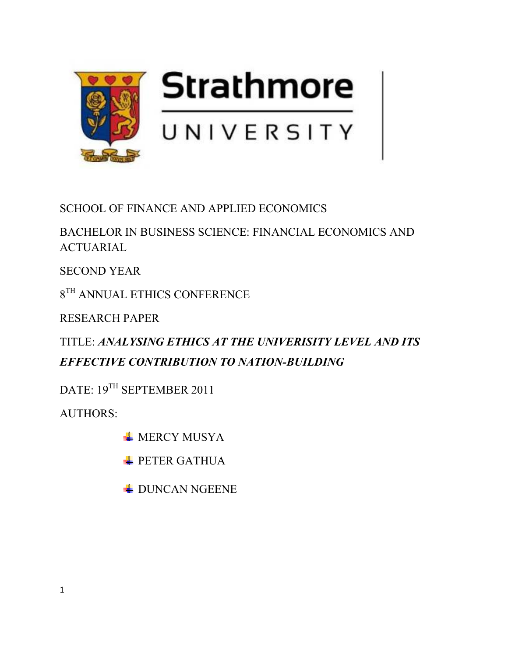

SCHOOL OF FINANCE AND APPLIED ECONOMICS

BACHELOR IN BUSINESS SCIENCE: FINANCIAL ECONOMICS AND ACTUARIAL

SECOND YEAR

 $8^{\mathrm{TH}}$  ANNUAL ETHICS CONFERENCE

RESEARCH PAPER

TITLE: *ANALYSING ETHICS AT THE UNIVERISITY LEVEL AND ITS EFFECTIVE CONTRIBUTION TO NATION-BUILDING* 

DATE: 19<sup>TH</sup> SEPTEMBER 2011

AUTHORS:

**WERCY MUSYA** 

**PETER GATHUA** 

**EXAMPLE DUNCAN NGEENE**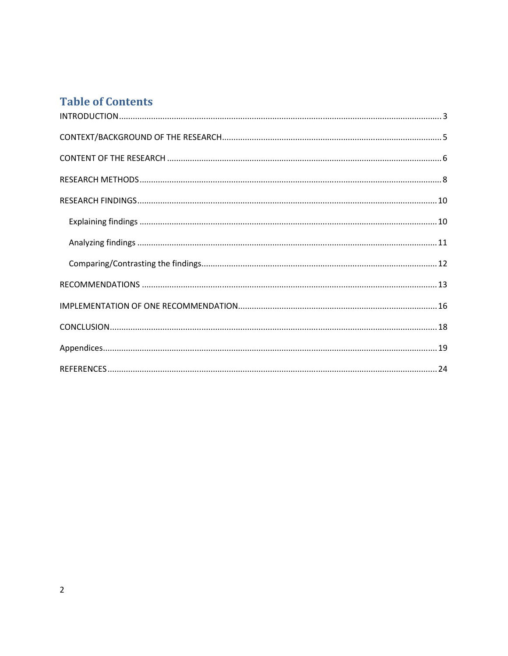# **Table of Contents**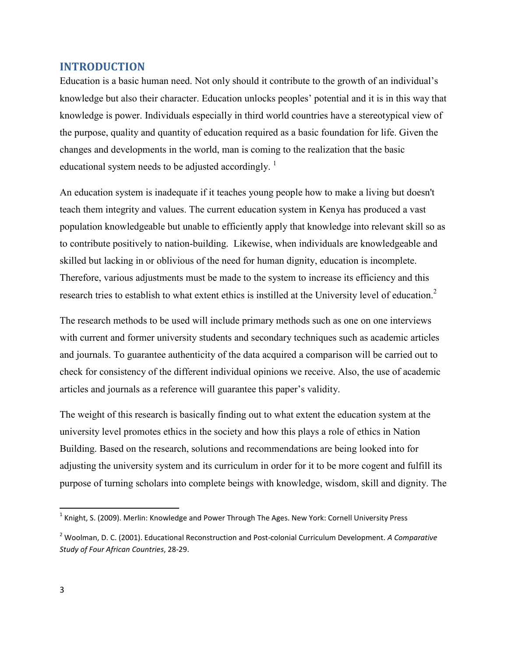## **INTRODUCTION**

Education is a basic human need. Not only should it contribute to the growth of an individual's knowledge but also their character. Education unlocks peoples' potential and it is in this way that knowledge is power. Individuals especially in third world countries have a stereotypical view of the purpose, quality and quantity of education required as a basic foundation for life. Given the changes and developments in the world, man is coming to the realization that the basic educational system needs to be adjusted accordingly.<sup>1</sup>

An education system is inadequate if it teaches young people how to make a living but doesn't teach them integrity and values. The current education system in Kenya has produced a vast population knowledgeable but unable to efficiently apply that knowledge into relevant skill so as to contribute positively to nation-building. Likewise, when individuals are knowledgeable and skilled but lacking in or oblivious of the need for human dignity, education is incomplete. Therefore, various adjustments must be made to the system to increase its efficiency and this research tries to establish to what extent ethics is instilled at the University level of education.<sup>2</sup>

The research methods to be used will include primary methods such as one on one interviews with current and former university students and secondary techniques such as academic articles and journals. To guarantee authenticity of the data acquired a comparison will be carried out to check for consistency of the different individual opinions we receive. Also, the use of academic articles and journals as a reference will guarantee this paper's validity.

The weight of this research is basically finding out to what extent the education system at the university level promotes ethics in the society and how this plays a role of ethics in Nation Building. Based on the research, solutions and recommendations are being looked into for adjusting the university system and its curriculum in order for it to be more cogent and fulfill its purpose of turning scholars into complete beings with knowledge, wisdom, skill and dignity. The

-

 $^1$  Knight, S. (2009). Merlin: Knowledge and Power Through The Ages. New York: Cornell University Press

<sup>2</sup> Woolman, D. C. (2001). Educational Reconstruction and Post-colonial Curriculum Development. *A Comparative Study of Four African Countries*, 28-29.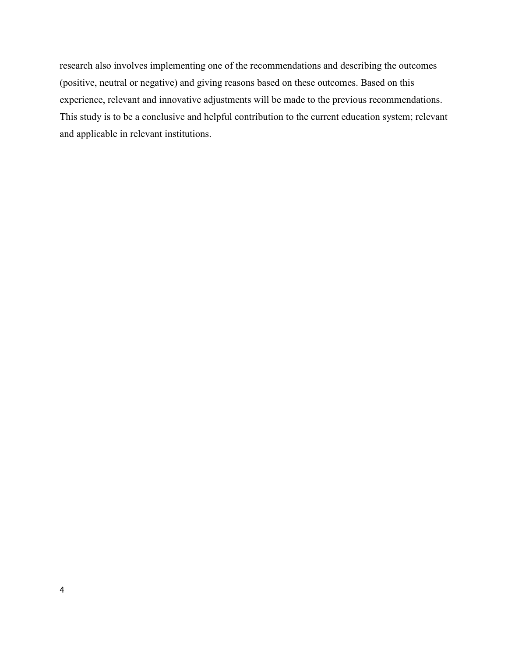research also involves implementing one of the recommendations and describing the outcomes (positive, neutral or negative) and giving reasons based on these outcomes. Based on this experience, relevant and innovative adjustments will be made to the previous recommendations. This study is to be a conclusive and helpful contribution to the current education system; relevant and applicable in relevant institutions.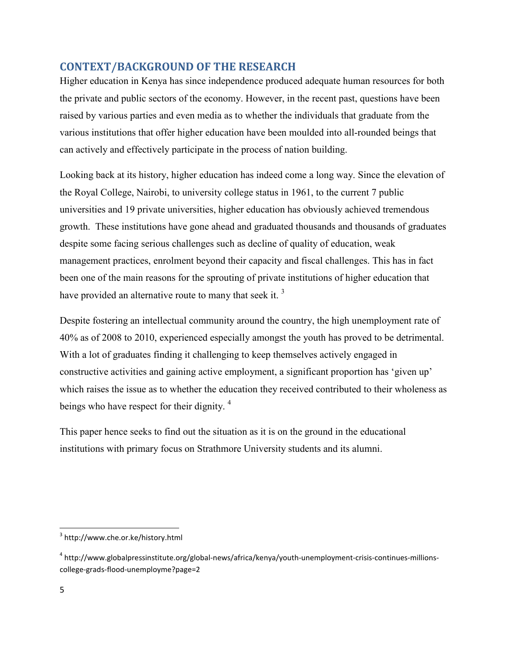# **CONTEXT/BACKGROUND OF THE RESEARCH**

Higher education in Kenya has since independence produced adequate human resources for both the private and public sectors of the economy. However, in the recent past, questions have been raised by various parties and even media as to whether the individuals that graduate from the various institutions that offer higher education have been moulded into all-rounded beings that can actively and effectively participate in the process of nation building.

Looking back at its history, higher education has indeed come a long way. Since the elevation of the Royal College, Nairobi, to university college status in 1961, to the current 7 public universities and 19 private universities, higher education has obviously achieved tremendous growth. These institutions have gone ahead and graduated thousands and thousands of graduates despite some facing serious challenges such as decline of quality of education, weak management practices, enrolment beyond their capacity and fiscal challenges. This has in fact been one of the main reasons for the sprouting of private institutions of higher education that have provided an alternative route to many that seek it.<sup>3</sup>

Despite fostering an intellectual community around the country, the high unemployment rate of 40% as of 2008 to 2010, experienced especially amongst the youth has proved to be detrimental. With a lot of graduates finding it challenging to keep themselves actively engaged in constructive activities and gaining active employment, a significant proportion has 'given up' which raises the issue as to whether the education they received contributed to their wholeness as beings who have respect for their dignity.<sup>4</sup>

This paper hence seeks to find out the situation as it is on the ground in the educational institutions with primary focus on Strathmore University students and its alumni.

-

<sup>3</sup> http://www.che.or.ke/history.html

<sup>4</sup> http://www.globalpressinstitute.org/global-news/africa/kenya/youth-unemployment-crisis-continues-millionscollege-grads-flood-unemployme?page=2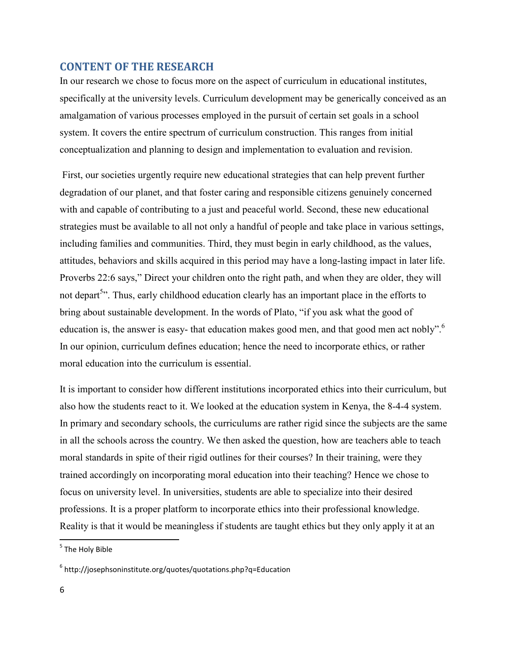## **CONTENT OF THE RESEARCH**

In our research we chose to focus more on the aspect of curriculum in educational institutes, specifically at the university levels. Curriculum development may be generically conceived as an amalgamation of various processes employed in the pursuit of certain set goals in a school system. It covers the entire spectrum of curriculum construction. This ranges from initial conceptualization and planning to design and implementation to evaluation and revision.

 First, our societies urgently require new educational strategies that can help prevent further degradation of our planet, and that foster caring and responsible citizens genuinely concerned with and capable of contributing to a just and peaceful world. Second, these new educational strategies must be available to all not only a handful of people and take place in various settings, including families and communities. Third, they must begin in early childhood, as the values, attitudes, behaviors and skills acquired in this period may have a long-lasting impact in later life. Proverbs 22:6 says," Direct your children onto the right path, and when they are older, they will not depart<sup>5</sup>". Thus, early childhood education clearly has an important place in the efforts to bring about sustainable development. In the words of Plato, "if you ask what the good of education is, the answer is easy- that education makes good men, and that good men act nobly".<sup>6</sup> In our opinion, curriculum defines education; hence the need to incorporate ethics, or rather moral education into the curriculum is essential.

It is important to consider how different institutions incorporated ethics into their curriculum, but also how the students react to it. We looked at the education system in Kenya, the 8-4-4 system. In primary and secondary schools, the curriculums are rather rigid since the subjects are the same in all the schools across the country. We then asked the question, how are teachers able to teach moral standards in spite of their rigid outlines for their courses? In their training, were they trained accordingly on incorporating moral education into their teaching? Hence we chose to focus on university level. In universities, students are able to specialize into their desired professions. It is a proper platform to incorporate ethics into their professional knowledge. Reality is that it would be meaningless if students are taught ethics but they only apply it at an

<u>.</u>

<sup>&</sup>lt;sup>5</sup> The Holy Bible

<sup>&</sup>lt;sup>6</sup> http://josephsoninstitute.org/quotes/quotations.php?q=Education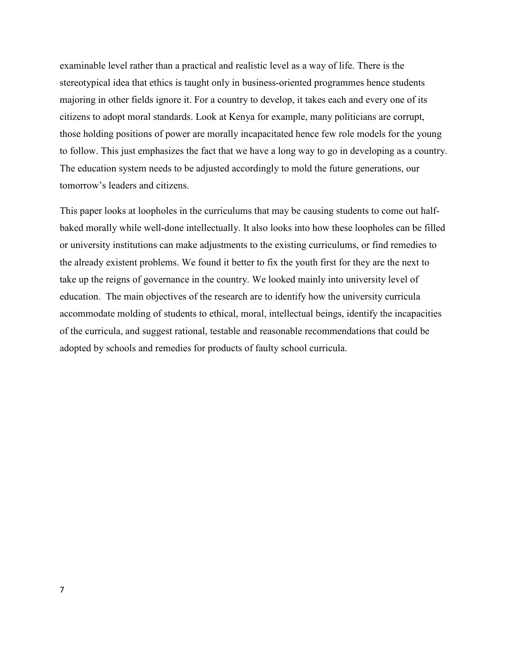examinable level rather than a practical and realistic level as a way of life. There is the stereotypical idea that ethics is taught only in business-oriented programmes hence students majoring in other fields ignore it. For a country to develop, it takes each and every one of its citizens to adopt moral standards. Look at Kenya for example, many politicians are corrupt, those holding positions of power are morally incapacitated hence few role models for the young to follow. This just emphasizes the fact that we have a long way to go in developing as a country. The education system needs to be adjusted accordingly to mold the future generations, our tomorrow's leaders and citizens.

This paper looks at loopholes in the curriculums that may be causing students to come out halfbaked morally while well-done intellectually. It also looks into how these loopholes can be filled or university institutions can make adjustments to the existing curriculums, or find remedies to the already existent problems. We found it better to fix the youth first for they are the next to take up the reigns of governance in the country. We looked mainly into university level of education. The main objectives of the research are to identify how the university curricula accommodate molding of students to ethical, moral, intellectual beings, identify the incapacities of the curricula, and suggest rational, testable and reasonable recommendations that could be adopted by schools and remedies for products of faulty school curricula.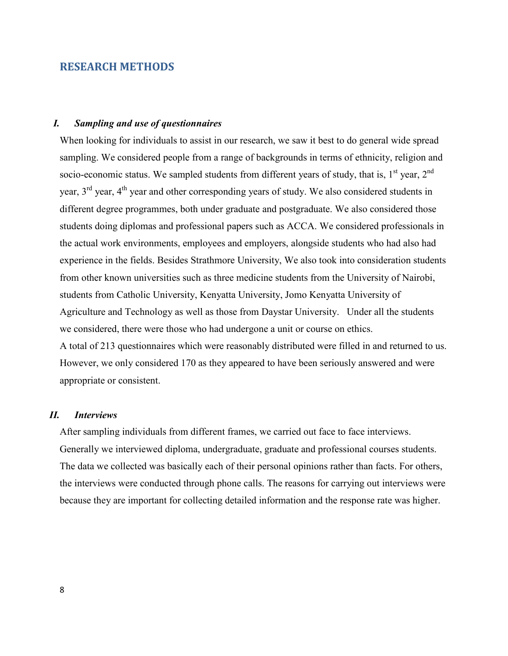### **RESEARCH METHODS**

### *I. Sampling and use of questionnaires*

When looking for individuals to assist in our research, we saw it best to do general wide spread sampling. We considered people from a range of backgrounds in terms of ethnicity, religion and socio-economic status. We sampled students from different years of study, that is,  $1<sup>st</sup>$  year,  $2<sup>nd</sup>$ year,  $3<sup>rd</sup>$  year,  $4<sup>th</sup>$  year and other corresponding years of study. We also considered students in different degree programmes, both under graduate and postgraduate. We also considered those students doing diplomas and professional papers such as ACCA. We considered professionals in the actual work environments, employees and employers, alongside students who had also had experience in the fields. Besides Strathmore University, We also took into consideration students from other known universities such as three medicine students from the University of Nairobi, students from Catholic University, Kenyatta University, Jomo Kenyatta University of Agriculture and Technology as well as those from Daystar University. Under all the students we considered, there were those who had undergone a unit or course on ethics. A total of 213 questionnaires which were reasonably distributed were filled in and returned to us. However, we only considered 170 as they appeared to have been seriously answered and were appropriate or consistent.

### *II. Interviews*

After sampling individuals from different frames, we carried out face to face interviews. Generally we interviewed diploma, undergraduate, graduate and professional courses students. The data we collected was basically each of their personal opinions rather than facts. For others, the interviews were conducted through phone calls. The reasons for carrying out interviews were because they are important for collecting detailed information and the response rate was higher.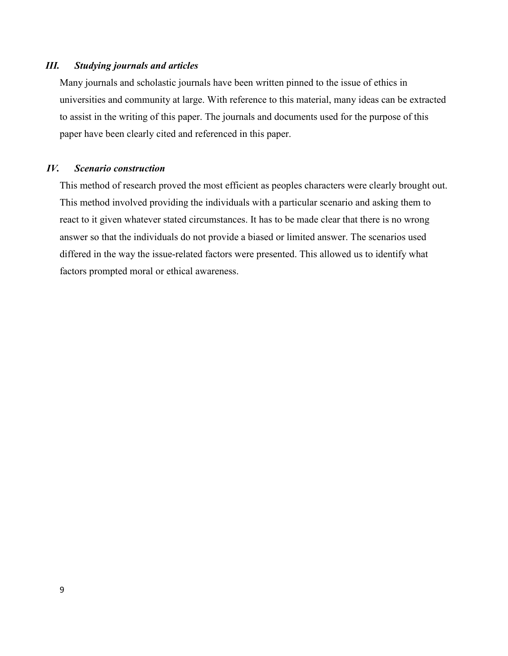### *III. Studying journals and articles*

Many journals and scholastic journals have been written pinned to the issue of ethics in universities and community at large. With reference to this material, many ideas can be extracted to assist in the writing of this paper. The journals and documents used for the purpose of this paper have been clearly cited and referenced in this paper.

### *IV. Scenario construction*

This method of research proved the most efficient as peoples characters were clearly brought out. This method involved providing the individuals with a particular scenario and asking them to react to it given whatever stated circumstances. It has to be made clear that there is no wrong answer so that the individuals do not provide a biased or limited answer. The scenarios used differed in the way the issue-related factors were presented. This allowed us to identify what factors prompted moral or ethical awareness.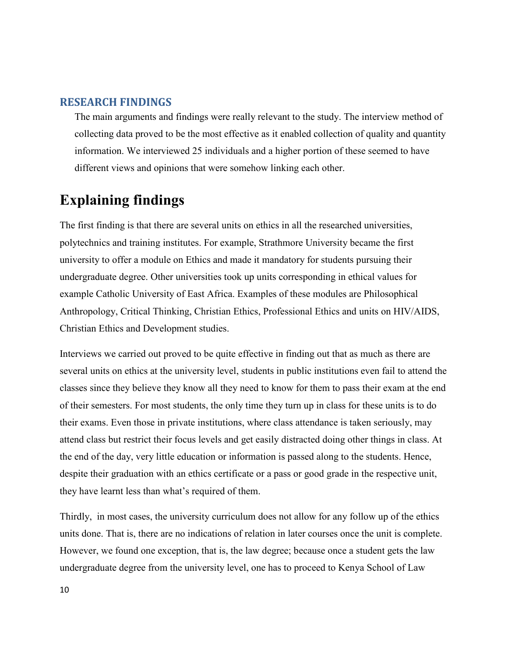## **RESEARCH FINDINGS**

The main arguments and findings were really relevant to the study. The interview method of collecting data proved to be the most effective as it enabled collection of quality and quantity information. We interviewed 25 individuals and a higher portion of these seemed to have different views and opinions that were somehow linking each other.

# **Explaining findings**

The first finding is that there are several units on ethics in all the researched universities, polytechnics and training institutes. For example, Strathmore University became the first university to offer a module on Ethics and made it mandatory for students pursuing their undergraduate degree. Other universities took up units corresponding in ethical values for example Catholic University of East Africa. Examples of these modules are Philosophical Anthropology, Critical Thinking, Christian Ethics, Professional Ethics and units on HIV/AIDS, Christian Ethics and Development studies.

Interviews we carried out proved to be quite effective in finding out that as much as there are several units on ethics at the university level, students in public institutions even fail to attend the classes since they believe they know all they need to know for them to pass their exam at the end of their semesters. For most students, the only time they turn up in class for these units is to do their exams. Even those in private institutions, where class attendance is taken seriously, may attend class but restrict their focus levels and get easily distracted doing other things in class. At the end of the day, very little education or information is passed along to the students. Hence, despite their graduation with an ethics certificate or a pass or good grade in the respective unit, they have learnt less than what's required of them.

Thirdly, in most cases, the university curriculum does not allow for any follow up of the ethics units done. That is, there are no indications of relation in later courses once the unit is complete. However, we found one exception, that is, the law degree; because once a student gets the law undergraduate degree from the university level, one has to proceed to Kenya School of Law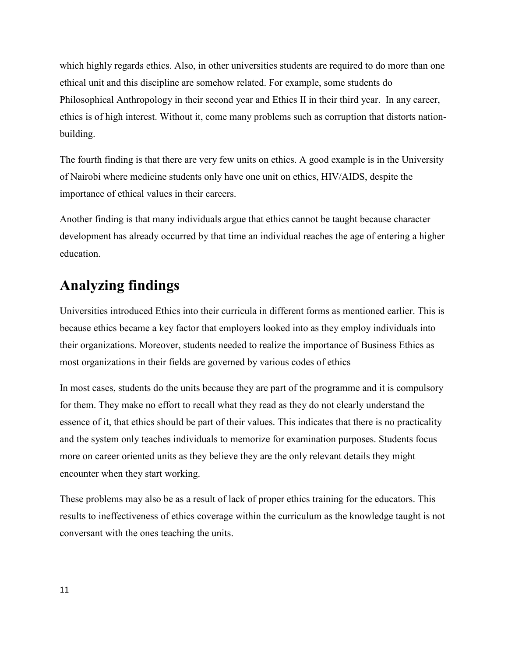which highly regards ethics. Also, in other universities students are required to do more than one ethical unit and this discipline are somehow related. For example, some students do Philosophical Anthropology in their second year and Ethics II in their third year. In any career, ethics is of high interest. Without it, come many problems such as corruption that distorts nationbuilding.

The fourth finding is that there are very few units on ethics. A good example is in the University of Nairobi where medicine students only have one unit on ethics, HIV/AIDS, despite the importance of ethical values in their careers.

Another finding is that many individuals argue that ethics cannot be taught because character development has already occurred by that time an individual reaches the age of entering a higher education.

# **Analyzing findings**

Universities introduced Ethics into their curricula in different forms as mentioned earlier. This is because ethics became a key factor that employers looked into as they employ individuals into their organizations. Moreover, students needed to realize the importance of Business Ethics as most organizations in their fields are governed by various codes of ethics

In most cases, students do the units because they are part of the programme and it is compulsory for them. They make no effort to recall what they read as they do not clearly understand the essence of it, that ethics should be part of their values. This indicates that there is no practicality and the system only teaches individuals to memorize for examination purposes. Students focus more on career oriented units as they believe they are the only relevant details they might encounter when they start working.

These problems may also be as a result of lack of proper ethics training for the educators. This results to ineffectiveness of ethics coverage within the curriculum as the knowledge taught is not conversant with the ones teaching the units.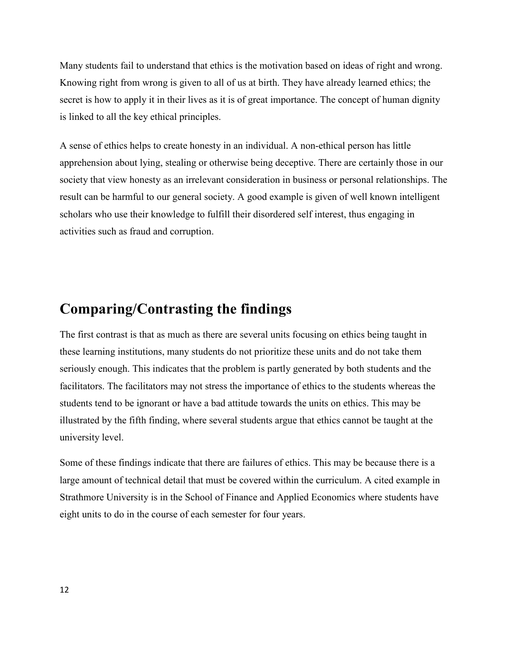Many students fail to understand that ethics is the motivation based on ideas of right and wrong. Knowing right from wrong is given to all of us at birth. They have already learned ethics; the secret is how to apply it in their lives as it is of great importance. The concept of human dignity is linked to all the key ethical principles.

A sense of ethics helps to create honesty in an individual. A non-ethical person has little apprehension about lying, stealing or otherwise being deceptive. There are certainly those in our society that view honesty as an irrelevant consideration in business or personal relationships. The result can be harmful to our general society. A good example is given of well known intelligent scholars who use their knowledge to fulfill their disordered self interest, thus engaging in activities such as fraud and corruption.

# **Comparing/Contrasting the findings**

The first contrast is that as much as there are several units focusing on ethics being taught in these learning institutions, many students do not prioritize these units and do not take them seriously enough. This indicates that the problem is partly generated by both students and the facilitators. The facilitators may not stress the importance of ethics to the students whereas the students tend to be ignorant or have a bad attitude towards the units on ethics. This may be illustrated by the fifth finding, where several students argue that ethics cannot be taught at the university level.

Some of these findings indicate that there are failures of ethics. This may be because there is a large amount of technical detail that must be covered within the curriculum. A cited example in Strathmore University is in the School of Finance and Applied Economics where students have eight units to do in the course of each semester for four years.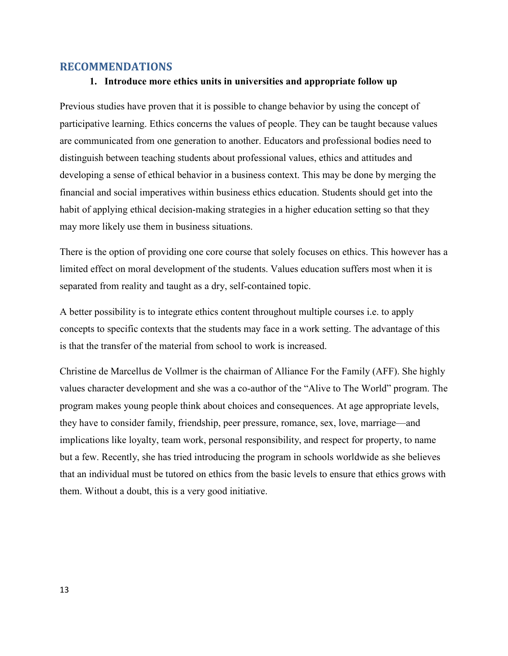### **RECOMMENDATIONS**

### **1. Introduce more ethics units in universities and appropriate follow up**

Previous studies have proven that it is possible to change behavior by using the concept of participative learning. Ethics concerns the values of people. They can be taught because values are communicated from one generation to another. Educators and professional bodies need to distinguish between teaching students about professional values, ethics and attitudes and developing a sense of ethical behavior in a business context. This may be done by merging the financial and social imperatives within business ethics education. Students should get into the habit of applying ethical decision-making strategies in a higher education setting so that they may more likely use them in business situations.

There is the option of providing one core course that solely focuses on ethics. This however has a limited effect on moral development of the students. Values education suffers most when it is separated from reality and taught as a dry, self-contained topic.

A better possibility is to integrate ethics content throughout multiple courses i.e. to apply concepts to specific contexts that the students may face in a work setting. The advantage of this is that the transfer of the material from school to work is increased.

Christine de Marcellus de Vollmer is the chairman of Alliance For the Family (AFF). She highly values character development and she was a co-author of the "Alive to The World" program. The program makes young people think about choices and consequences. At age appropriate levels, they have to consider family, friendship, peer pressure, romance, sex, love, marriage—and implications like loyalty, team work, personal responsibility, and respect for property, to name but a few. Recently, she has tried introducing the program in schools worldwide as she believes that an individual must be tutored on ethics from the basic levels to ensure that ethics grows with them. Without a doubt, this is a very good initiative.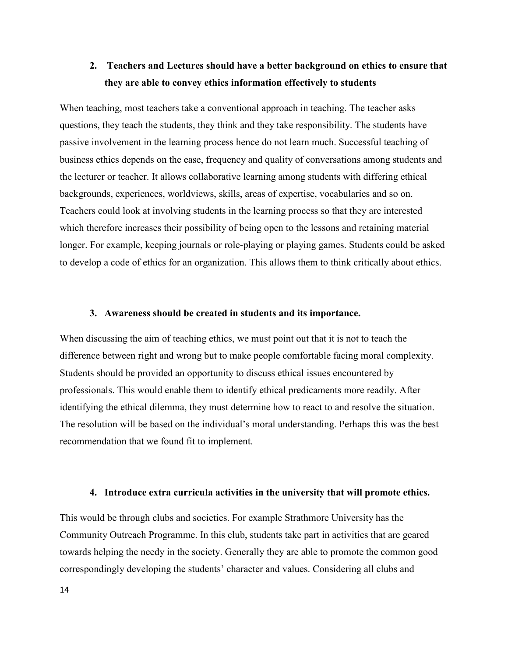# **2. Teachers and Lectures should have a better background on ethics to ensure that they are able to convey ethics information effectively to students**

When teaching, most teachers take a conventional approach in teaching. The teacher asks questions, they teach the students, they think and they take responsibility. The students have passive involvement in the learning process hence do not learn much. Successful teaching of business ethics depends on the ease, frequency and quality of conversations among students and the lecturer or teacher. It allows collaborative learning among students with differing ethical backgrounds, experiences, worldviews, skills, areas of expertise, vocabularies and so on. Teachers could look at involving students in the learning process so that they are interested which therefore increases their possibility of being open to the lessons and retaining material longer. For example, keeping journals or role-playing or playing games. Students could be asked to develop a code of ethics for an organization. This allows them to think critically about ethics.

#### **3. Awareness should be created in students and its importance.**

When discussing the aim of teaching ethics, we must point out that it is not to teach the difference between right and wrong but to make people comfortable facing moral complexity. Students should be provided an opportunity to discuss ethical issues encountered by professionals. This would enable them to identify ethical predicaments more readily. After identifying the ethical dilemma, they must determine how to react to and resolve the situation. The resolution will be based on the individual's moral understanding. Perhaps this was the best recommendation that we found fit to implement.

#### **4. Introduce extra curricula activities in the university that will promote ethics.**

This would be through clubs and societies. For example Strathmore University has the Community Outreach Programme. In this club, students take part in activities that are geared towards helping the needy in the society. Generally they are able to promote the common good correspondingly developing the students' character and values. Considering all clubs and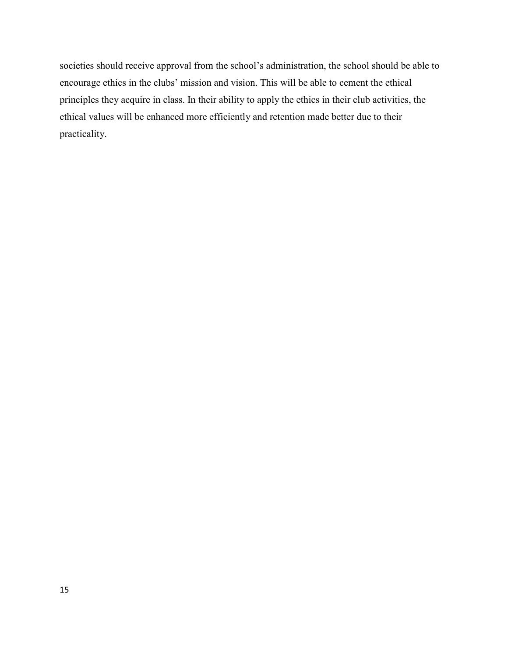societies should receive approval from the school's administration, the school should be able to encourage ethics in the clubs' mission and vision. This will be able to cement the ethical principles they acquire in class. In their ability to apply the ethics in their club activities, the ethical values will be enhanced more efficiently and retention made better due to their practicality.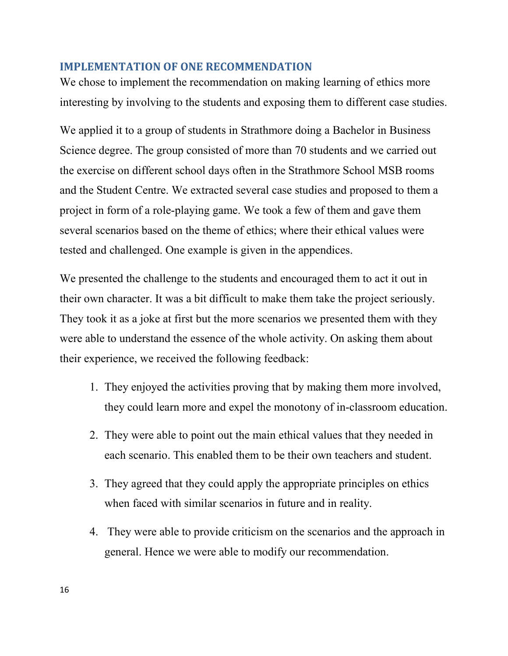## **IMPLEMENTATION OF ONE RECOMMENDATION**

We chose to implement the recommendation on making learning of ethics more interesting by involving to the students and exposing them to different case studies.

We applied it to a group of students in Strathmore doing a Bachelor in Business Science degree. The group consisted of more than 70 students and we carried out the exercise on different school days often in the Strathmore School MSB rooms and the Student Centre. We extracted several case studies and proposed to them a project in form of a role-playing game. We took a few of them and gave them several scenarios based on the theme of ethics; where their ethical values were tested and challenged. One example is given in the appendices.

We presented the challenge to the students and encouraged them to act it out in their own character. It was a bit difficult to make them take the project seriously. They took it as a joke at first but the more scenarios we presented them with they were able to understand the essence of the whole activity. On asking them about their experience, we received the following feedback:

- 1. They enjoyed the activities proving that by making them more involved, they could learn more and expel the monotony of in-classroom education.
- 2. They were able to point out the main ethical values that they needed in each scenario. This enabled them to be their own teachers and student.
- 3. They agreed that they could apply the appropriate principles on ethics when faced with similar scenarios in future and in reality.
- 4. They were able to provide criticism on the scenarios and the approach in general. Hence we were able to modify our recommendation.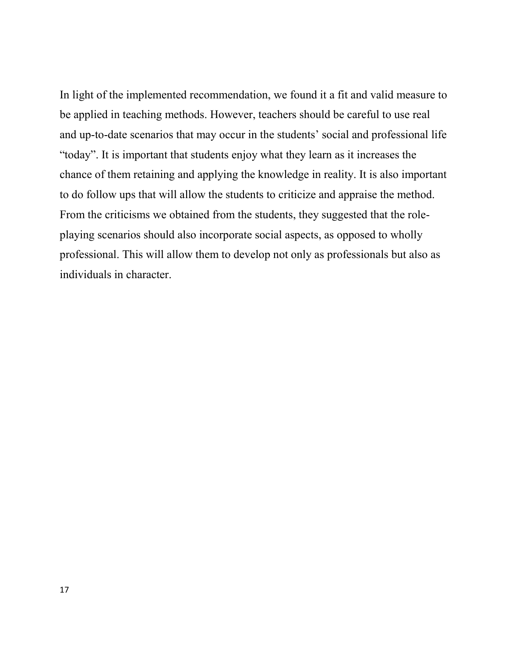In light of the implemented recommendation, we found it a fit and valid measure to be applied in teaching methods. However, teachers should be careful to use real and up-to-date scenarios that may occur in the students' social and professional life "today". It is important that students enjoy what they learn as it increases the chance of them retaining and applying the knowledge in reality. It is also important to do follow ups that will allow the students to criticize and appraise the method. From the criticisms we obtained from the students, they suggested that the roleplaying scenarios should also incorporate social aspects, as opposed to wholly professional. This will allow them to develop not only as professionals but also as individuals in character.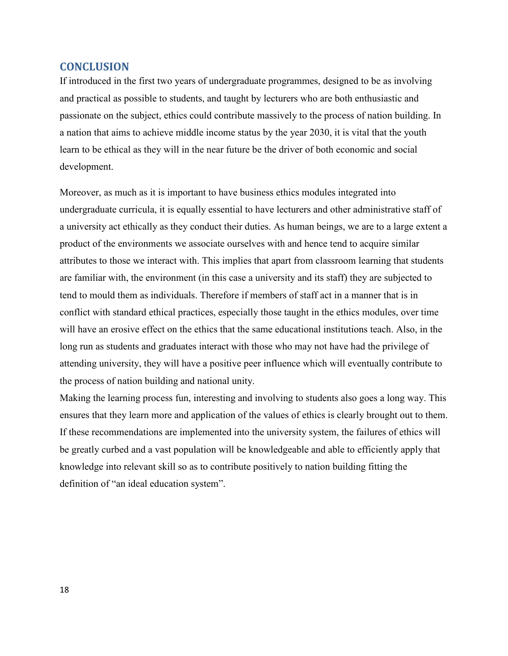## **CONCLUSION**

If introduced in the first two years of undergraduate programmes, designed to be as involving and practical as possible to students, and taught by lecturers who are both enthusiastic and passionate on the subject, ethics could contribute massively to the process of nation building. In a nation that aims to achieve middle income status by the year 2030, it is vital that the youth learn to be ethical as they will in the near future be the driver of both economic and social development.

Moreover, as much as it is important to have business ethics modules integrated into undergraduate curricula, it is equally essential to have lecturers and other administrative staff of a university act ethically as they conduct their duties. As human beings, we are to a large extent a product of the environments we associate ourselves with and hence tend to acquire similar attributes to those we interact with. This implies that apart from classroom learning that students are familiar with, the environment (in this case a university and its staff) they are subjected to tend to mould them as individuals. Therefore if members of staff act in a manner that is in conflict with standard ethical practices, especially those taught in the ethics modules, over time will have an erosive effect on the ethics that the same educational institutions teach. Also, in the long run as students and graduates interact with those who may not have had the privilege of attending university, they will have a positive peer influence which will eventually contribute to the process of nation building and national unity.

Making the learning process fun, interesting and involving to students also goes a long way. This ensures that they learn more and application of the values of ethics is clearly brought out to them. If these recommendations are implemented into the university system, the failures of ethics will be greatly curbed and a vast population will be knowledgeable and able to efficiently apply that knowledge into relevant skill so as to contribute positively to nation building fitting the definition of "an ideal education system".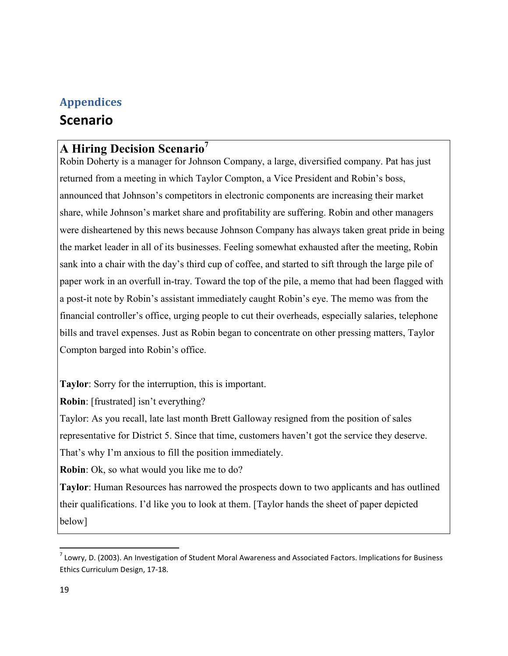# **Appendices Scenario**

# **A Hiring Decision Scenario<sup>7</sup>**

Robin Doherty is a manager for Johnson Company, a large, diversified company. Pat has just returned from a meeting in which Taylor Compton, a Vice President and Robin's boss, announced that Johnson's competitors in electronic components are increasing their market share, while Johnson's market share and profitability are suffering. Robin and other managers were disheartened by this news because Johnson Company has always taken great pride in being the market leader in all of its businesses. Feeling somewhat exhausted after the meeting, Robin sank into a chair with the day's third cup of coffee, and started to sift through the large pile of paper work in an overfull in-tray. Toward the top of the pile, a memo that had been flagged with a post-it note by Robin's assistant immediately caught Robin's eye. The memo was from the financial controller's office, urging people to cut their overheads, especially salaries, telephone bills and travel expenses. Just as Robin began to concentrate on other pressing matters, Taylor Compton barged into Robin's office.

**Taylor**: Sorry for the interruption, this is important.

**Robin**: [frustrated] isn't everything?

Taylor: As you recall, late last month Brett Galloway resigned from the position of sales representative for District 5. Since that time, customers haven't got the service they deserve. That's why I'm anxious to fill the position immediately.

**Robin**: Ok, so what would you like me to do?

**Taylor**: Human Resources has narrowed the prospects down to two applicants and has outlined their qualifications. I'd like you to look at them. [Taylor hands the sheet of paper depicted below]

<u>.</u>

 $^7$  Lowry, D. (2003). An Investigation of Student Moral Awareness and Associated Factors. Implications for Business Ethics Curriculum Design, 17-18.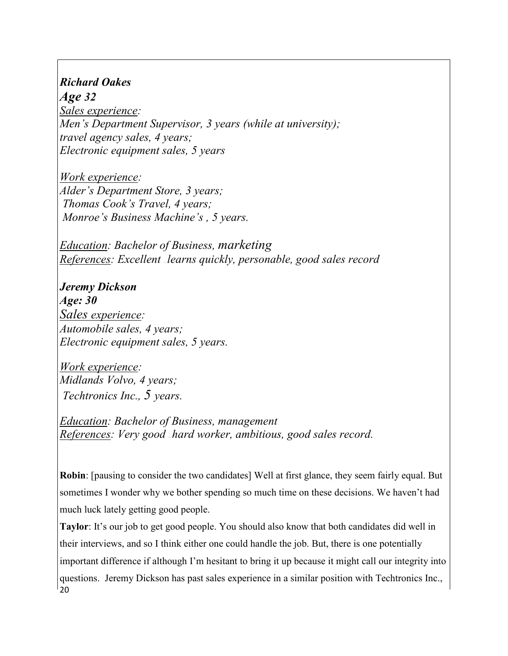# *Richard Oakes Age 32*

*Sales experience: Men's Department Supervisor, 3 years (while at university); travel agency sales, 4 years; Electronic equipment sales, 5 years* 

*Work experience: Alder's Department Store, 3 years; Thomas Cook's Travel, 4 years; Monroe's Business Machine's , 5 years.* 

*Education: Bachelor of Business, marketing References: Excellent <sup><i>\_learns quickly, personable, good sales record*</sup>

*Jeremy Dickson Age: 30 Sales experience: Automobile sales, 4 years; Electronic equipment sales, 5 years.* 

*Work experience: Midlands Volvo, 4 years; Techtronics Inc., 5 years.* 

*Education: Bachelor of Business, management References: Very good — hard worker, ambitious, good sales record.* 

**Robin**: [pausing to consider the two candidates] Well at first glance, they seem fairly equal. But sometimes I wonder why we bother spending so much time on these decisions. We haven't had much luck lately getting good people.

20 **Taylor**: It's our job to get good people. You should also know that both candidates did well in their interviews, and so I think either one could handle the job. But, there is one potentially important difference if although I'm hesitant to bring it up because it might call our integrity into questions. Jeremy Dickson has past sales experience in a similar position with Techtronics Inc.,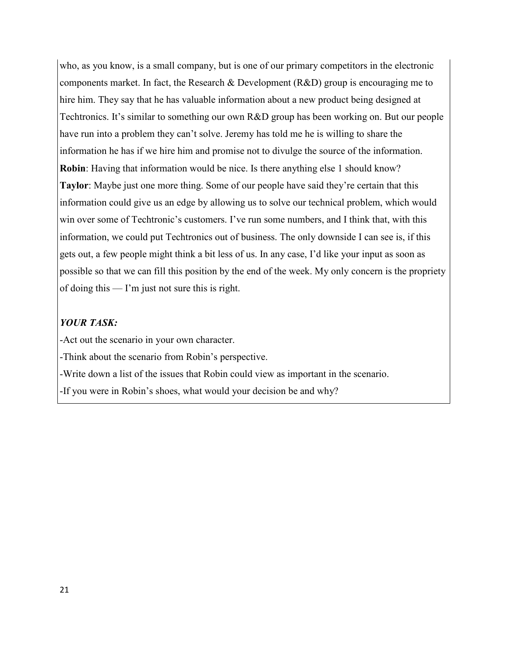who, as you know, is a small company, but is one of our primary competitors in the electronic components market. In fact, the Research & Development (R&D) group is encouraging me to hire him. They say that he has valuable information about a new product being designed at Techtronics. It's similar to something our own R&D group has been working on. But our people have run into a problem they can't solve. Jeremy has told me he is willing to share the information he has if we hire him and promise not to divulge the source of the information. **Robin**: Having that information would be nice. Is there anything else 1 should know? **Taylor**: Maybe just one more thing. Some of our people have said they're certain that this information could give us an edge by allowing us to solve our technical problem, which would win over some of Techtronic's customers. I've run some numbers, and I think that, with this information, we could put Techtronics out of business. The only downside I can see is, if this gets out, a few people might think a bit less of us. In any case, I'd like your input as soon as possible so that we can fill this position by the end of the week. My only concern is the propriety of doing this — I'm just not sure this is right.

### *YOUR TASK:*

-Act out the scenario in your own character.

-Think about the scenario from Robin's perspective.

-Write down a list of the issues that Robin could view as important in the scenario.

-If you were in Robin's shoes, what would your decision be and why?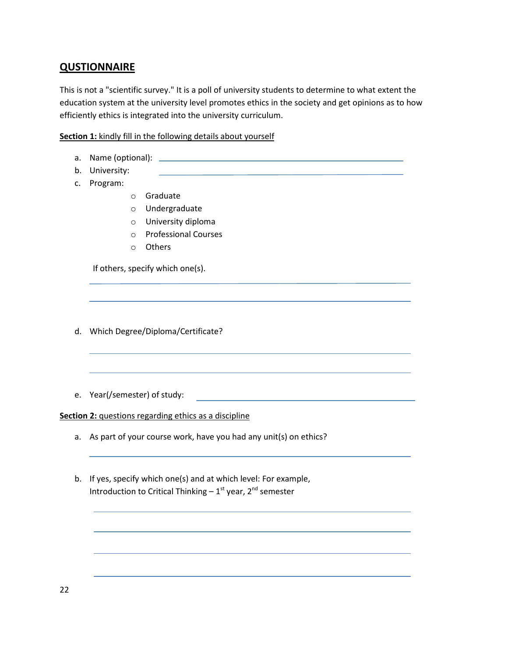# **QUSTIONNAIRE**

This is not a "scientific survey." It is a poll of university students to determine to what extent the education system at the university level promotes ethics in the society and get opinions as to how efficiently ethics is integrated into the university curriculum.

### **Section 1:** kindly fill in the following details about yourself

- a. Name (optional):
- b. University:
- c. Program:
- o Graduate
- o Undergraduate
- o University diploma
- o Professional Courses
- o Others

If others, specify which one(s).

- d. Which Degree/Diploma/Certificate?
- e. Year(/semester) of study:

### **Section 2:** questions regarding ethics as a discipline

- a. As part of your course work, have you had any unit(s) on ethics?
- b. If yes, specify which one(s) and at which level: For example, Introduction to Critical Thinking  $-1^{st}$  year,  $2^{nd}$  semester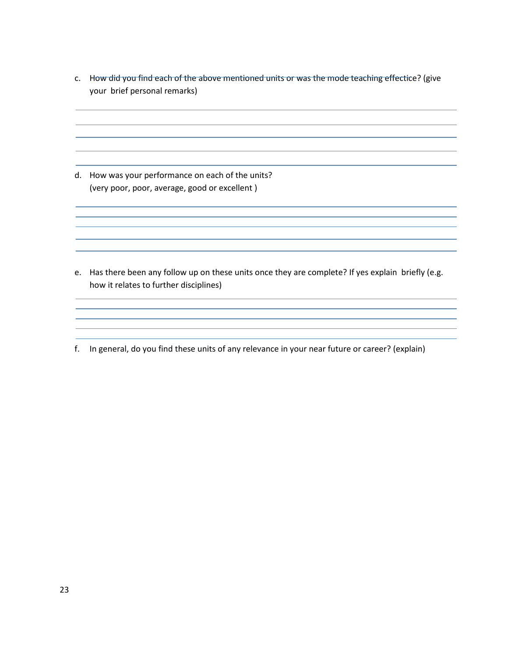c. How did you find each of the above mentioned units or was the mode teaching effectice? (give your brief personal remarks)

d. How was your performance on each of the units? (very poor, poor, average, good or excellent )

e. Has there been any follow up on these units once they are complete? If yes explain briefly (e.g. how it relates to further disciplines)

f. In general, do you find these units of any relevance in your near future or career? (explain)